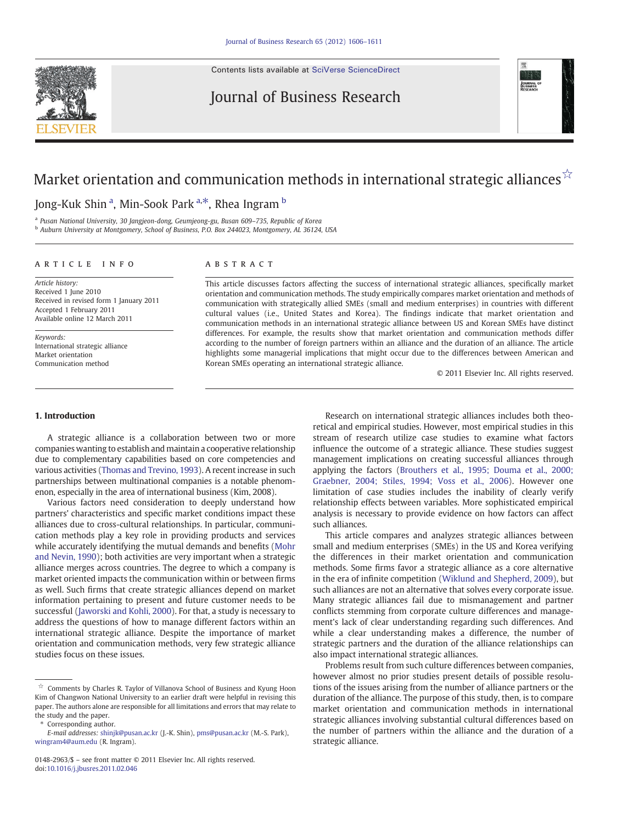Contents lists available at [SciVerse ScienceDirect](http://www.sciencedirect.com/science/journal/01482963)

## Journal of Business Research



# Market orientation and communication methods in international strategic alliances $\vec{x}$

## Jong-Kuk Shin <sup>a</sup>, Min-Sook Park <sup>a,\*</sup>, Rhea Ingram <sup>b</sup>

a Pusan National University, 30 Jangjeon-dong, Geumjeong-gu, Busan 609-735, Republic of Korea

b Auburn University at Montgomery, School of Business, P.O. Box 244023, Montgomery, AL 36124, USA

### article info abstract

Article history: Received 1 June 2010 Received in revised form 1 January 2011 Accepted 1 February 2011 Available online 12 March 2011

Keywords: International strategic alliance Market orientation Communication method

This article discusses factors affecting the success of international strategic alliances, specifically market orientation and communication methods. The study empirically compares market orientation and methods of communication with strategically allied SMEs (small and medium enterprises) in countries with different cultural values (i.e., United States and Korea). The findings indicate that market orientation and communication methods in an international strategic alliance between US and Korean SMEs have distinct differences. For example, the results show that market orientation and communication methods differ according to the number of foreign partners within an alliance and the duration of an alliance. The article highlights some managerial implications that might occur due to the differences between American and Korean SMEs operating an international strategic alliance.

© 2011 Elsevier Inc. All rights reserved.

### 1. Introduction

A strategic alliance is a collaboration between two or more companies wanting to establish and maintain a cooperative relationship due to complementary capabilities based on core competencies and various activities [\(Thomas and Trevino, 1993](#page--1-0)). A recent increase in such partnerships between multinational companies is a notable phenomenon, especially in the area of international business (Kim, 2008).

Various factors need consideration to deeply understand how partners' characteristics and specific market conditions impact these alliances due to cross-cultural relationships. In particular, communication methods play a key role in providing products and services while accurately identifying the mutual demands and benefits ([Mohr](#page--1-0) [and Nevin, 1990\)](#page--1-0); both activities are very important when a strategic alliance merges across countries. The degree to which a company is market oriented impacts the communication within or between firms as well. Such firms that create strategic alliances depend on market information pertaining to present and future customer needs to be successful ([Jaworski and Kohli, 2000](#page--1-0)). For that, a study is necessary to address the questions of how to manage different factors within an international strategic alliance. Despite the importance of market orientation and communication methods, very few strategic alliance studies focus on these issues.

Research on international strategic alliances includes both theoretical and empirical studies. However, most empirical studies in this stream of research utilize case studies to examine what factors influence the outcome of a strategic alliance. These studies suggest management implications on creating successful alliances through applying the factors ([Brouthers et al., 1995; Douma et al., 2000;](#page--1-0) [Graebner, 2004; Stiles, 1994; Voss et al., 2006](#page--1-0)). However one limitation of case studies includes the inability of clearly verify relationship effects between variables. More sophisticated empirical analysis is necessary to provide evidence on how factors can affect such alliances.

This article compares and analyzes strategic alliances between small and medium enterprises (SMEs) in the US and Korea verifying the differences in their market orientation and communication methods. Some firms favor a strategic alliance as a core alternative in the era of infinite competition [\(Wiklund and Shepherd, 2009](#page--1-0)), but such alliances are not an alternative that solves every corporate issue. Many strategic alliances fail due to mismanagement and partner conflicts stemming from corporate culture differences and management's lack of clear understanding regarding such differences. And while a clear understanding makes a difference, the number of strategic partners and the duration of the alliance relationships can also impact international strategic alliances.

Problems result from such culture differences between companies, however almost no prior studies present details of possible resolutions of the issues arising from the number of alliance partners or the duration of the alliance. The purpose of this study, then, is to compare market orientation and communication methods in international strategic alliances involving substantial cultural differences based on the number of partners within the alliance and the duration of a strategic alliance.

<sup>☆</sup> Comments by Charles R. Taylor of Villanova School of Business and Kyung Hoon Kim of Changwon National University to an earlier draft were helpful in revising this paper. The authors alone are responsible for all limitations and errors that may relate to the study and the paper.

<sup>⁎</sup> Corresponding author.

E-mail addresses: [shinjk@pusan.ac.kr](mailto:shinjk@pusan.ac.kr) (J.-K. Shin), [pms@pusan.ac.kr](mailto:pms@pusan.ac.kr) (M.-S. Park), [wingram4@aum.edu](mailto:wingram4@aum.edu) (R. Ingram).

<sup>0148-2963/\$</sup> – see front matter © 2011 Elsevier Inc. All rights reserved. doi[:10.1016/j.jbusres.2011.02.046](http://dx.doi.org/10.1016/j.jbusres.2011.02.046)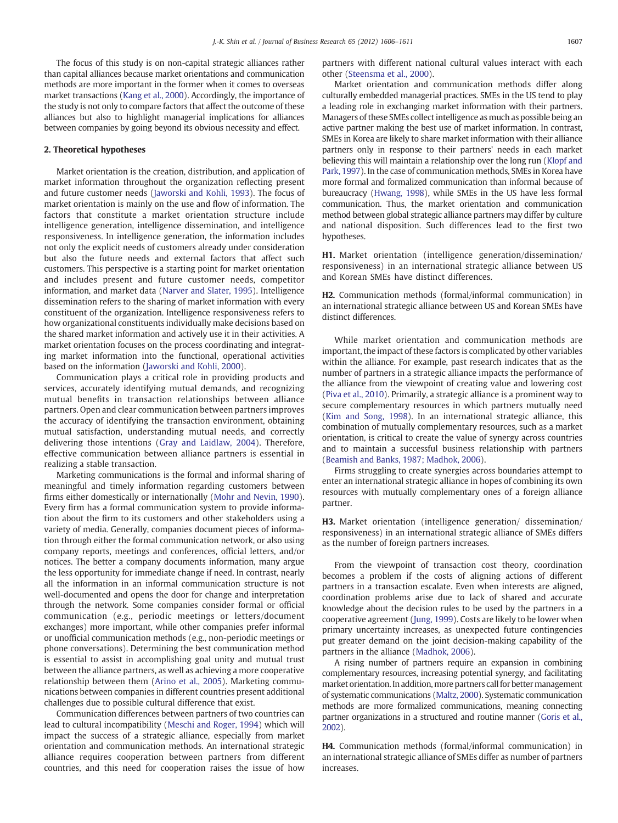The focus of this study is on non-capital strategic alliances rather than capital alliances because market orientations and communication methods are more important in the former when it comes to overseas market transactions ([Kang et al., 2000](#page--1-0)). Accordingly, the importance of the study is not only to compare factors that affect the outcome of these alliances but also to highlight managerial implications for alliances between companies by going beyond its obvious necessity and effect.

#### 2. Theoretical hypotheses

Market orientation is the creation, distribution, and application of market information throughout the organization reflecting present and future customer needs [\(Jaworski and Kohli, 1993\)](#page--1-0). The focus of market orientation is mainly on the use and flow of information. The factors that constitute a market orientation structure include intelligence generation, intelligence dissemination, and intelligence responsiveness. In intelligence generation, the information includes not only the explicit needs of customers already under consideration but also the future needs and external factors that affect such customers. This perspective is a starting point for market orientation and includes present and future customer needs, competitor information, and market data ([Narver and Slater, 1995](#page--1-0)). Intelligence dissemination refers to the sharing of market information with every constituent of the organization. Intelligence responsiveness refers to how organizational constituents individually make decisions based on the shared market information and actively use it in their activities. A market orientation focuses on the process coordinating and integrating market information into the functional, operational activities based on the information ([Jaworski and Kohli, 2000\)](#page--1-0).

Communication plays a critical role in providing products and services, accurately identifying mutual demands, and recognizing mutual benefits in transaction relationships between alliance partners. Open and clear communication between partners improves the accuracy of identifying the transaction environment, obtaining mutual satisfaction, understanding mutual needs, and correctly delivering those intentions ([Gray and Laidlaw, 2004](#page--1-0)). Therefore, effective communication between alliance partners is essential in realizing a stable transaction.

Marketing communications is the formal and informal sharing of meaningful and timely information regarding customers between firms either domestically or internationally [\(Mohr and Nevin, 1990](#page--1-0)). Every firm has a formal communication system to provide information about the firm to its customers and other stakeholders using a variety of media. Generally, companies document pieces of information through either the formal communication network, or also using company reports, meetings and conferences, official letters, and/or notices. The better a company documents information, many argue the less opportunity for immediate change if need. In contrast, nearly all the information in an informal communication structure is not well-documented and opens the door for change and interpretation through the network. Some companies consider formal or official communication (e.g., periodic meetings or letters/document exchanges) more important, while other companies prefer informal or unofficial communication methods (e.g., non-periodic meetings or phone conversations). Determining the best communication method is essential to assist in accomplishing goal unity and mutual trust between the alliance partners, as well as achieving a more cooperative relationship between them [\(Arino et al., 2005\)](#page--1-0). Marketing communications between companies in different countries present additional challenges due to possible cultural difference that exist.

Communication differences between partners of two countries can lead to cultural incompatibility ([Meschi and Roger, 1994](#page--1-0)) which will impact the success of a strategic alliance, especially from market orientation and communication methods. An international strategic alliance requires cooperation between partners from different countries, and this need for cooperation raises the issue of how

partners with different national cultural values interact with each other [\(Steensma et al., 2000](#page--1-0)).

Market orientation and communication methods differ along culturally embedded managerial practices. SMEs in the US tend to play a leading role in exchanging market information with their partners. Managers of these SMEs collect intelligence as much as possible being an active partner making the best use of market information. In contrast, SMEs in Korea are likely to share market information with their alliance partners only in response to their partners' needs in each market believing this will maintain a relationship over the long run [\(Klopf and](#page--1-0) [Park, 1997](#page--1-0)). In the case of communication methods, SMEs in Korea have more formal and formalized communication than informal because of bureaucracy ([Hwang, 1998\)](#page--1-0), while SMEs in the US have less formal communication. Thus, the market orientation and communication method between global strategic alliance partners may differ by culture and national disposition. Such differences lead to the first two hypotheses.

H1. Market orientation (intelligence generation/dissemination/ responsiveness) in an international strategic alliance between US and Korean SMEs have distinct differences.

H2. Communication methods (formal/informal communication) in an international strategic alliance between US and Korean SMEs have distinct differences.

While market orientation and communication methods are important, the impact of these factors is complicated by other variables within the alliance. For example, past research indicates that as the number of partners in a strategic alliance impacts the performance of the alliance from the viewpoint of creating value and lowering cost [\(Piva et al., 2010](#page--1-0)). Primarily, a strategic alliance is a prominent way to secure complementary resources in which partners mutually need [\(Kim and Song, 1998](#page--1-0)). In an international strategic alliance, this combination of mutually complementary resources, such as a market orientation, is critical to create the value of synergy across countries and to maintain a successful business relationship with partners [\(Beamish and Banks, 1987; Madhok, 2006](#page--1-0)).

Firms struggling to create synergies across boundaries attempt to enter an international strategic alliance in hopes of combining its own resources with mutually complementary ones of a foreign alliance partner.

H3. Market orientation (intelligence generation/ dissemination/ responsiveness) in an international strategic alliance of SMEs differs as the number of foreign partners increases.

From the viewpoint of transaction cost theory, coordination becomes a problem if the costs of aligning actions of different partners in a transaction escalate. Even when interests are aligned, coordination problems arise due to lack of shared and accurate knowledge about the decision rules to be used by the partners in a cooperative agreement ([Jung, 1999\)](#page--1-0). Costs are likely to be lower when primary uncertainty increases, as unexpected future contingencies put greater demand on the joint decision-making capability of the partners in the alliance ([Madhok, 2006](#page--1-0)).

A rising number of partners require an expansion in combining complementary resources, increasing potential synergy, and facilitating market orientation. In addition, more partners call for better management of systematic communications [\(Maltz, 2000\)](#page--1-0). Systematic communication methods are more formalized communications, meaning connecting partner organizations in a structured and routine manner ([Goris et al.,](#page--1-0) [2002](#page--1-0)).

H4. Communication methods (formal/informal communication) in an international strategic alliance of SMEs differ as number of partners increases.